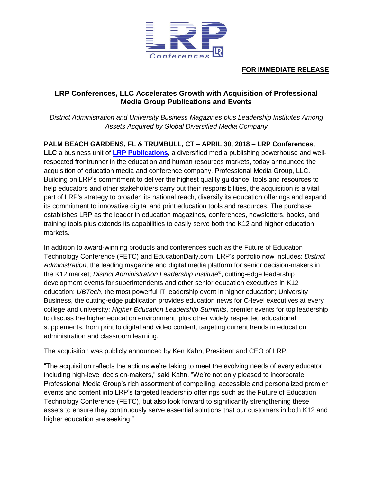

## **FOR IMMEDIATE RELEASE**

# **LRP Conferences, LLC Accelerates Growth with Acquisition of Professional Media Group Publications and Events**

*District Administration and University Business Magazines plus Leadership Institutes Among Assets Acquired by Global Diversified Media Company*

**PALM BEACH GARDENS, FL & TRUMBULL, CT** – **APRIL 30, 2018** – **LRP Conferences,**

**LLC** a business unit of **[LRP Publications](http://www.lrp.com/)**, a diversified media publishing powerhouse and wellrespected frontrunner in the education and human resources markets, today announced the acquisition of education media and conference company, Professional Media Group, LLC. Building on LRP's commitment to deliver the highest quality guidance, tools and resources to help educators and other stakeholders carry out their responsibilities, the acquisition is a vital part of LRP's strategy to broaden its national reach, diversify its education offerings and expand its commitment to innovative digital and print education tools and resources. The purchase establishes LRP as the leader in education magazines, conferences, newsletters, books, and training tools plus extends its capabilities to easily serve both the K12 and higher education markets.

In addition to award-winning products and conferences such as the Future of Education Technology Conference (FETC) and EducationDaily.com, LRP's portfolio now includes: *District Administration*, the leading magazine and digital media platform for senior decision-makers in the K12 market; *District Administration Leadership Institute*® , cutting-edge leadership development events for superintendents and other senior education executives in K12 education; *UBTech*, the most powerful IT leadership event in higher education; University Business, the cutting-edge publication provides education news for C-level executives at every college and university; *Higher Education Leadership Summits*, premier events for top leadership to discuss the higher education environment; plus other widely respected educational supplements, from print to digital and video content, targeting current trends in education administration and classroom learning.

The acquisition was publicly announced by Ken Kahn, President and CEO of LRP.

"The acquisition reflects the actions we're taking to meet the evolving needs of every educator including high-level decision-makers," said Kahn. "We're not only pleased to incorporate Professional Media Group's rich assortment of compelling, accessible and personalized premier events and content into LRP's targeted leadership offerings such as the Future of Education Technology Conference (FETC), but also look forward to significantly strengthening these assets to ensure they continuously serve essential solutions that our customers in both K12 and higher education are seeking."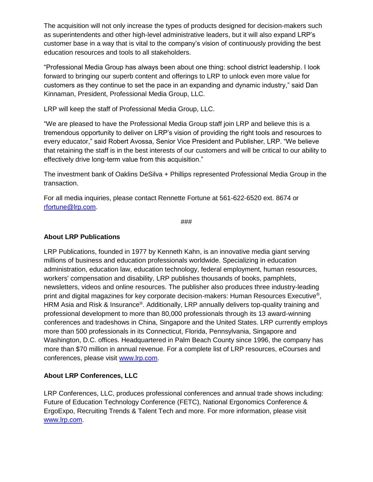The acquisition will not only increase the types of products designed for decision-makers such as superintendents and other high-level administrative leaders, but it will also expand LRP's customer base in a way that is vital to the company's vision of continuously providing the best education resources and tools to all stakeholders.

"Professional Media Group has always been about one thing: school district leadership. I look forward to bringing our superb content and offerings to LRP to unlock even more value for customers as they continue to set the pace in an expanding and dynamic industry," said Dan Kinnaman, President, Professional Media Group, LLC.

LRP will keep the staff of Professional Media Group, LLC.

"We are pleased to have the Professional Media Group staff join LRP and believe this is a tremendous opportunity to deliver on LRP's vision of providing the right tools and resources to every educator," said Robert Avossa, Senior Vice President and Publisher, LRP. "We believe that retaining the staff is in the best interests of our customers and will be critical to our ability to effectively drive long-term value from this acquisition."

The investment bank of Oaklins DeSilva + Phillips represented Professional Media Group in the transaction.

For all media inquiries, please contact Rennette Fortune at 561-622-6520 ext. 8674 or [rfortune@lrp.com.](mailto:rfortune@lrp.com)

###

#### **About LRP Publications**

LRP Publications, founded in 1977 by Kenneth Kahn, is an innovative media giant serving millions of business and education professionals worldwide. Specializing in education administration, education law, education technology, federal employment, human resources, workers' compensation and disability, LRP publishes thousands of books, pamphlets, newsletters, videos and online resources. The publisher also produces three industry-leading print and digital magazines for key corporate decision-makers: Human Resources Executive®, HRM Asia and Risk & Insurance®. Additionally, LRP annually delivers top-quality training and professional development to more than 80,000 professionals through its 13 award-winning conferences and tradeshows in China, Singapore and the United States. LRP currently employs more than 500 professionals in its Connecticut, Florida, Pennsylvania, Singapore and Washington, D.C. offices. Headquartered in Palm Beach County since 1996, the company has more than \$70 million in annual revenue. For a complete list of LRP resources, eCourses and conferences, please visit [www.lrp.com.](http://www.lrp.com/)

### **About LRP Conferences, LLC**

LRP Conferences, LLC, produces professional conferences and annual trade shows including: Future of Education Technology Conference (FETC), National Ergonomics Conference & ErgoExpo, Recruiting Trends & Talent Tech and more. For more information, please visit [www.lrp.com.](http://www.lrp.com/)